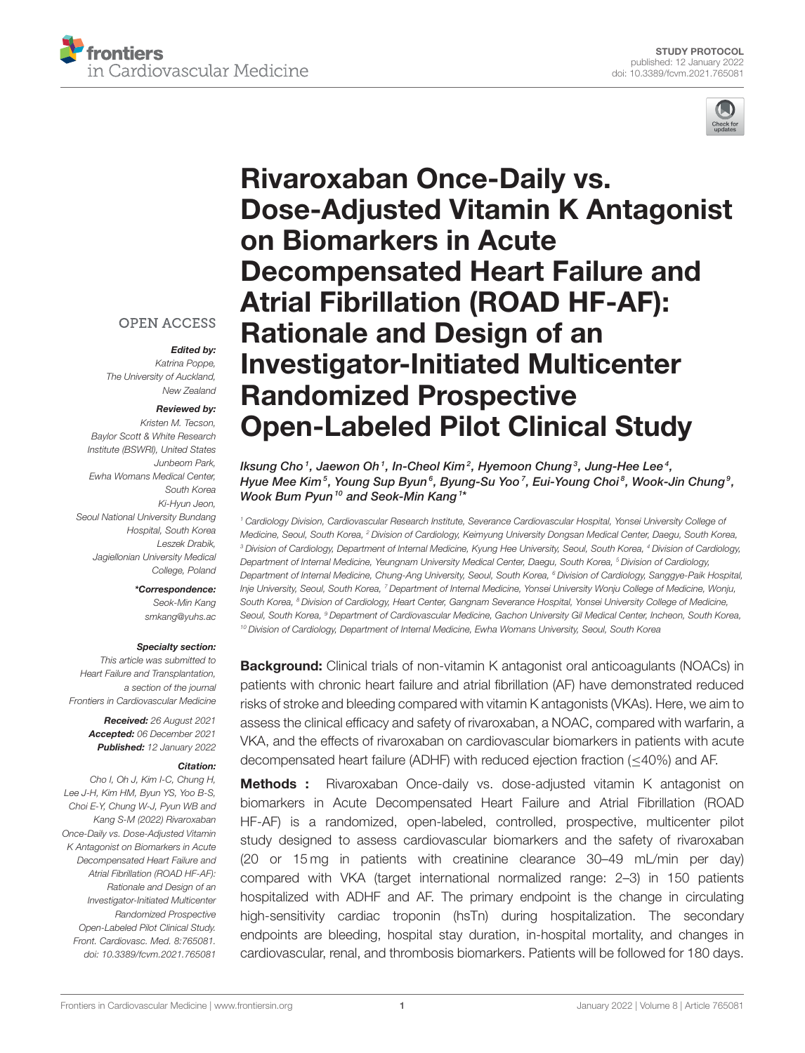



## **OPEN ACCESS**

#### Edited by:

*Katrina Poppe, The University of Auckland, New Zealand*

#### Reviewed by:

*Kristen M. Tecson, Baylor Scott & White Research Institute (BSWRI), United States Junbeom Park, Ewha Womans Medical Center, South Korea Ki-Hyun Jeon, Seoul National University Bundang Hospital, South Korea Leszek Drabik, Jagiellonian University Medical College, Poland*

### \*Correspondence:

*Seok-Min Kang [smkang@yuhs.ac](mailto:smkang@yuhs.ac)*

#### Specialty section:

*This article was submitted to Heart Failure and Transplantation, a section of the journal Frontiers in Cardiovascular Medicine*

> Received: *26 August 2021* Accepted: *06 December 2021* Published: *12 January 2022*

#### Citation:

*Cho I, Oh J, Kim I-C, Chung H, Lee J-H, Kim HM, Byun YS, Yoo B-S, Choi E-Y, Chung W-J, Pyun WB and Kang S-M (2022) Rivaroxaban Once-Daily vs. Dose-Adjusted Vitamin K Antagonist on Biomarkers in Acute Decompensated Heart Failure and Atrial Fibrillation (ROAD HF-AF): Rationale and Design of an Investigator-Initiated Multicenter Randomized Prospective Open-Labeled Pilot Clinical Study. Front. Cardiovasc. Med. 8:765081. doi: [10.3389/fcvm.2021.765081](https://doi.org/10.3389/fcvm.2021.765081)*

# Rivaroxaban Once-Daily vs. [Dose-Adjusted Vitamin K Antagonist](https://www.frontiersin.org/articles/10.3389/fcvm.2021.765081/full) on Biomarkers in Acute Decompensated Heart Failure and Atrial Fibrillation (ROAD HF-AF): Rationale and Design of an Investigator-Initiated Multicenter Randomized Prospective Open-Labeled Pilot Clinical Study

lksung Cho  $^{\textrm{\tiny{\it{1}}}}$ , Jaewon Oh  $^{\textrm{\tiny{\it{1}}}}$ , In-Cheol Kim  $^{\textrm{\tiny{\it{2}}}}$ , Hyemoon Chung  $^{\textrm{\tiny{\it{3}}}}$ , Jung-Hee Lee  $^{\textrm{\tiny{\it{4}}}}$ , Hyue Mee Kim $^5$ , Young Sup Byun $^6$ , Byung-Su Yoo $^7$ , Eui-Young Choi $^8$ , Wook-Jin Chung $^9$ , Wook Bum Pyun<sup>10</sup> and Seok-Min Kang<sup>1\*</sup>

*<sup>1</sup> Cardiology Division, Cardiovascular Research Institute, Severance Cardiovascular Hospital, Yonsei University College of Medicine, Seoul, South Korea, <sup>2</sup> Division of Cardiology, Keimyung University Dongsan Medical Center, Daegu, South Korea, <sup>3</sup> Division of Cardiology, Department of Internal Medicine, Kyung Hee University, Seoul, South Korea, <sup>4</sup> Division of Cardiology, Department of Internal Medicine, Yeungnam University Medical Center, Daegu, South Korea, <sup>5</sup> Division of Cardiology, Department of Internal Medicine, Chung-Ang University, Seoul, South Korea, <sup>6</sup> Division of Cardiology, Sanggye-Paik Hospital, Inje University, Seoul, South Korea, <sup>7</sup> Department of Internal Medicine, Yonsei University Wonju College of Medicine, Wonju, South Korea, <sup>8</sup> Division of Cardiology, Heart Center, Gangnam Severance Hospital, Yonsei University College of Medicine, Seoul, South Korea, <sup>9</sup> Department of Cardiovascular Medicine, Gachon University Gil Medical Center, Incheon, South Korea, <sup>10</sup> Division of Cardiology, Department of Internal Medicine, Ewha Womans University, Seoul, South Korea*

**Background:** Clinical trials of non-vitamin K antagonist oral anticoagulants (NOACs) in patients with chronic heart failure and atrial fibrillation (AF) have demonstrated reduced risks of stroke and bleeding compared with vitamin K antagonists (VKAs). Here, we aim to assess the clinical efficacy and safety of rivaroxaban, a NOAC, compared with warfarin, a VKA, and the effects of rivaroxaban on cardiovascular biomarkers in patients with acute decompensated heart failure (ADHF) with reduced ejection fraction (≤40%) and AF.

Methods : Rivaroxaban Once-daily vs. dose-adjusted vitamin K antagonist on biomarkers in Acute Decompensated Heart Failure and Atrial Fibrillation (ROAD HF-AF) is a randomized, open-labeled, controlled, prospective, multicenter pilot study designed to assess cardiovascular biomarkers and the safety of rivaroxaban (20 or 15 mg in patients with creatinine clearance 30–49 mL/min per day) compared with VKA (target international normalized range: 2–3) in 150 patients hospitalized with ADHF and AF. The primary endpoint is the change in circulating high-sensitivity cardiac troponin (hsTn) during hospitalization. The secondary endpoints are bleeding, hospital stay duration, in-hospital mortality, and changes in cardiovascular, renal, and thrombosis biomarkers. Patients will be followed for 180 days.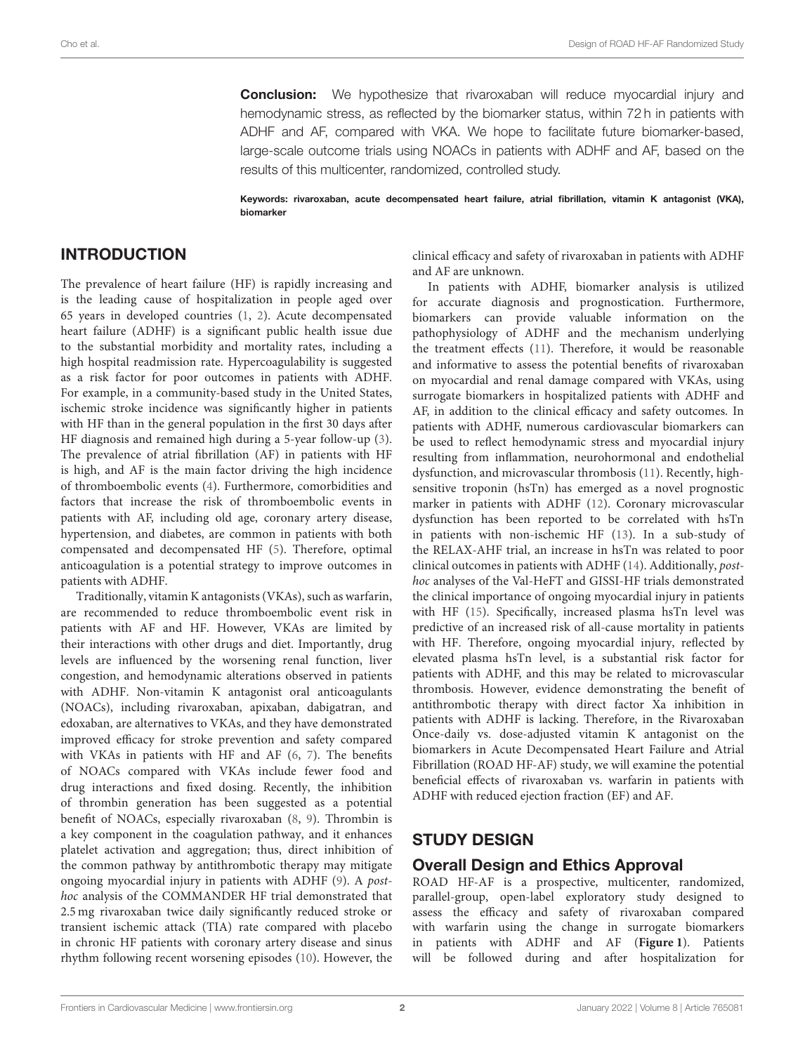**Conclusion:** We hypothesize that rivaroxaban will reduce myocardial injury and hemodynamic stress, as reflected by the biomarker status, within 72 h in patients with ADHF and AF, compared with VKA. We hope to facilitate future biomarker-based, large-scale outcome trials using NOACs in patients with ADHF and AF, based on the results of this multicenter, randomized, controlled study.

Keywords: rivaroxaban, acute decompensated heart failure, atrial fibrillation, vitamin K antagonist (VKA), biomarker

## INTRODUCTION

The prevalence of heart failure (HF) is rapidly increasing and is the leading cause of hospitalization in people aged over 65 years in developed countries [\(1,](#page-7-0) [2\)](#page-7-1). Acute decompensated heart failure (ADHF) is a significant public health issue due to the substantial morbidity and mortality rates, including a high hospital readmission rate. Hypercoagulability is suggested as a risk factor for poor outcomes in patients with ADHF. For example, in a community-based study in the United States, ischemic stroke incidence was significantly higher in patients with HF than in the general population in the first 30 days after HF diagnosis and remained high during a 5-year follow-up [\(3\)](#page-7-2). The prevalence of atrial fibrillation (AF) in patients with HF is high, and AF is the main factor driving the high incidence of thromboembolic events [\(4\)](#page-7-3). Furthermore, comorbidities and factors that increase the risk of thromboembolic events in patients with AF, including old age, coronary artery disease, hypertension, and diabetes, are common in patients with both compensated and decompensated HF [\(5\)](#page-7-4). Therefore, optimal anticoagulation is a potential strategy to improve outcomes in patients with ADHF.

Traditionally, vitamin K antagonists (VKAs), such as warfarin, are recommended to reduce thromboembolic event risk in patients with AF and HF. However, VKAs are limited by their interactions with other drugs and diet. Importantly, drug levels are influenced by the worsening renal function, liver congestion, and hemodynamic alterations observed in patients with ADHF. Non-vitamin K antagonist oral anticoagulants (NOACs), including rivaroxaban, apixaban, dabigatran, and edoxaban, are alternatives to VKAs, and they have demonstrated improved efficacy for stroke prevention and safety compared with VKAs in patients with HF and AF [\(6,](#page-7-5) [7\)](#page-7-6). The benefits of NOACs compared with VKAs include fewer food and drug interactions and fixed dosing. Recently, the inhibition of thrombin generation has been suggested as a potential benefit of NOACs, especially rivaroxaban [\(8,](#page-7-7) [9\)](#page-7-8). Thrombin is a key component in the coagulation pathway, and it enhances platelet activation and aggregation; thus, direct inhibition of the common pathway by antithrombotic therapy may mitigate ongoing myocardial injury in patients with ADHF [\(9\)](#page-7-8). A posthoc analysis of the COMMANDER HF trial demonstrated that 2.5 mg rivaroxaban twice daily significantly reduced stroke or transient ischemic attack (TIA) rate compared with placebo in chronic HF patients with coronary artery disease and sinus rhythm following recent worsening episodes [\(10\)](#page-7-9). However, the clinical efficacy and safety of rivaroxaban in patients with ADHF and AF are unknown.

In patients with ADHF, biomarker analysis is utilized for accurate diagnosis and prognostication. Furthermore, biomarkers can provide valuable information on the pathophysiology of ADHF and the mechanism underlying the treatment effects [\(11\)](#page-7-10). Therefore, it would be reasonable and informative to assess the potential benefits of rivaroxaban on myocardial and renal damage compared with VKAs, using surrogate biomarkers in hospitalized patients with ADHF and AF, in addition to the clinical efficacy and safety outcomes. In patients with ADHF, numerous cardiovascular biomarkers can be used to reflect hemodynamic stress and myocardial injury resulting from inflammation, neurohormonal and endothelial dysfunction, and microvascular thrombosis [\(11\)](#page-7-10). Recently, highsensitive troponin (hsTn) has emerged as a novel prognostic marker in patients with ADHF [\(12\)](#page-7-11). Coronary microvascular dysfunction has been reported to be correlated with hsTn in patients with non-ischemic HF [\(13\)](#page-7-12). In a sub-study of the RELAX-AHF trial, an increase in hsTn was related to poor clinical outcomes in patients with ADHF [\(14\)](#page-7-13). Additionally, posthoc analyses of the Val-HeFT and GISSI-HF trials demonstrated the clinical importance of ongoing myocardial injury in patients with HF [\(15\)](#page-7-14). Specifically, increased plasma hsTn level was predictive of an increased risk of all-cause mortality in patients with HF. Therefore, ongoing myocardial injury, reflected by elevated plasma hsTn level, is a substantial risk factor for patients with ADHF, and this may be related to microvascular thrombosis. However, evidence demonstrating the benefit of antithrombotic therapy with direct factor Xa inhibition in patients with ADHF is lacking. Therefore, in the Rivaroxaban Once-daily vs. dose-adjusted vitamin K antagonist on the biomarkers in Acute Decompensated Heart Failure and Atrial Fibrillation (ROAD HF-AF) study, we will examine the potential beneficial effects of rivaroxaban vs. warfarin in patients with ADHF with reduced ejection fraction (EF) and AF.

## STUDY DESIGN

## Overall Design and Ethics Approval

ROAD HF-AF is a prospective, multicenter, randomized, parallel-group, open-label exploratory study designed to assess the efficacy and safety of rivaroxaban compared with warfarin using the change in surrogate biomarkers in patients with ADHF and AF (**[Figure 1](#page-2-0)**). Patients will be followed during and after hospitalization for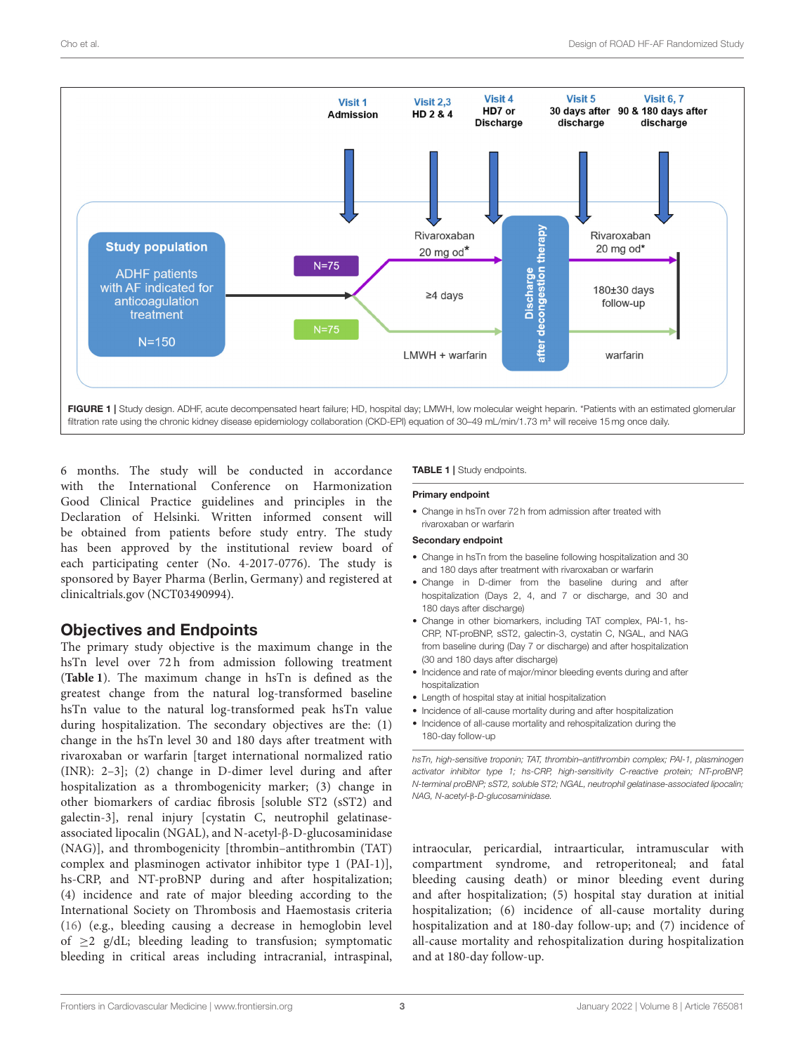

<span id="page-2-0"></span>6 months. The study will be conducted in accordance with the International Conference on Harmonization Good Clinical Practice guidelines and principles in the Declaration of Helsinki. Written informed consent will be obtained from patients before study entry. The study has been approved by the institutional review board of each participating center (No. 4-2017-0776). The study is sponsored by Bayer Pharma (Berlin, Germany) and registered at clinicaltrials.gov (NCT03490994).

# Objectives and Endpoints

The primary study objective is the maximum change in the hsTn level over 72 h from admission following treatment (**[Table 1](#page-2-1)**). The maximum change in hsTn is defined as the greatest change from the natural log-transformed baseline hsTn value to the natural log-transformed peak hsTn value during hospitalization. The secondary objectives are the: (1) change in the hsTn level 30 and 180 days after treatment with rivaroxaban or warfarin [target international normalized ratio (INR): 2–3]; (2) change in D-dimer level during and after hospitalization as a thrombogenicity marker; (3) change in other biomarkers of cardiac fibrosis [soluble ST2 (sST2) and galectin-3], renal injury [cystatin C, neutrophil gelatinaseassociated lipocalin (NGAL), and N-acetyl-β-D-glucosaminidase (NAG)], and thrombogenicity [thrombin–antithrombin (TAT) complex and plasminogen activator inhibitor type 1 (PAI-1)], hs-CRP, and NT-proBNP during and after hospitalization; (4) incidence and rate of major bleeding according to the International Society on Thrombosis and Haemostasis criteria [\(16\)](#page-7-15) (e.g., bleeding causing a decrease in hemoglobin level of  $\geq$ 2 g/dL; bleeding leading to transfusion; symptomatic bleeding in critical areas including intracranial, intraspinal,

## <span id="page-2-1"></span>TABLE 1 | Study endpoints.

## Primary endpoint

• Change in hsTn over 72 h from admission after treated with rivaroxaban or warfarin

## Secondary endpoint

- Change in hsTn from the baseline following hospitalization and 30 and 180 days after treatment with rivaroxaban or warfarin
- Change in D-dimer from the baseline during and after hospitalization (Days 2, 4, and 7 or discharge, and 30 and 180 days after discharge)
- Change in other biomarkers, including TAT complex, PAI-1, hs-CRP, NT-proBNP, sST2, galectin-3, cystatin C, NGAL, and NAG from baseline during (Day 7 or discharge) and after hospitalization (30 and 180 days after discharge)
- Incidence and rate of major/minor bleeding events during and after hospitalization
- Length of hospital stay at initial hospitalization
- Incidence of all-cause mortality during and after hospitalization
- Incidence of all-cause mortality and rehospitalization during the 180-day follow-up

*hsTn, high-sensitive troponin; TAT, thrombin–antithrombin complex; PAI-1, plasminogen activator inhibitor type 1; hs-CRP, high-sensitivity C-reactive protein; NT-proBNP, N-terminal proBNP; sST2, soluble ST2; NGAL, neutrophil gelatinase-associated lipocalin; NAG, N-acetyl-*β*-D-glucosaminidase.*

intraocular, pericardial, intraarticular, intramuscular with compartment syndrome, and retroperitoneal; and fatal bleeding causing death) or minor bleeding event during and after hospitalization; (5) hospital stay duration at initial hospitalization; (6) incidence of all-cause mortality during hospitalization and at 180-day follow-up; and (7) incidence of all-cause mortality and rehospitalization during hospitalization and at 180-day follow-up.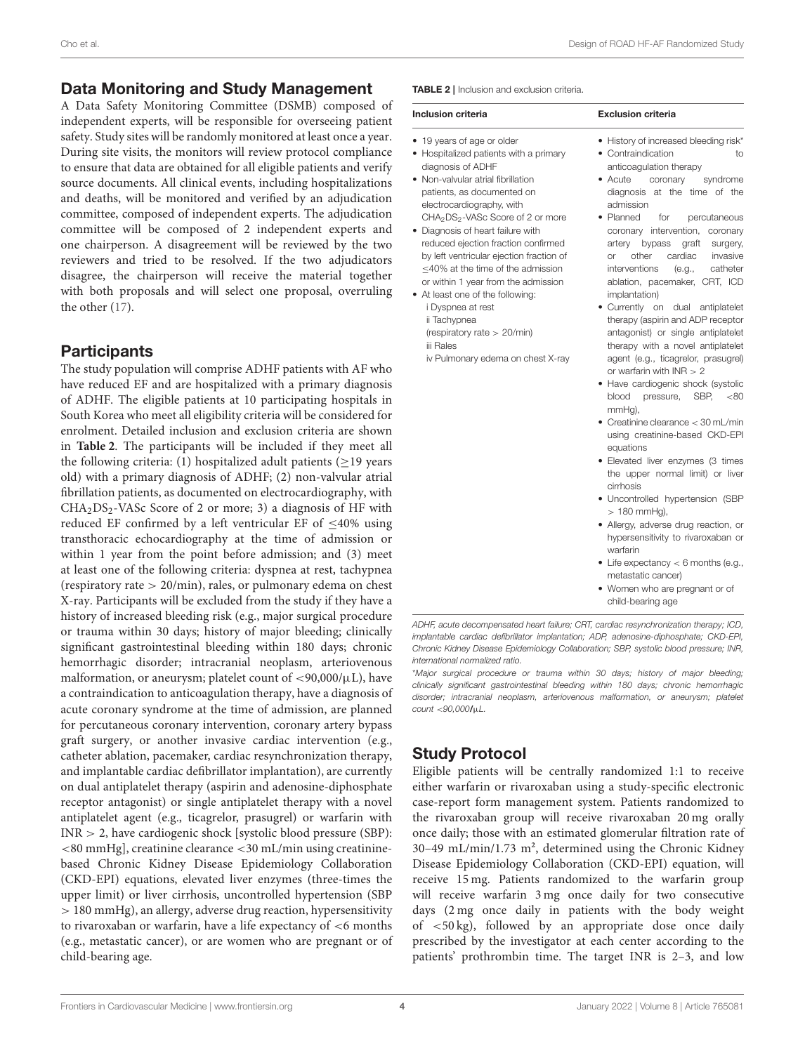## Data Monitoring and Study Management

A Data Safety Monitoring Committee (DSMB) composed of independent experts, will be responsible for overseeing patient safety. Study sites will be randomly monitored at least once a year. During site visits, the monitors will review protocol compliance to ensure that data are obtained for all eligible patients and verify source documents. All clinical events, including hospitalizations and deaths, will be monitored and verified by an adjudication committee, composed of independent experts. The adjudication committee will be composed of 2 independent experts and one chairperson. A disagreement will be reviewed by the two reviewers and tried to be resolved. If the two adjudicators disagree, the chairperson will receive the material together with both proposals and will select one proposal, overruling the other [\(17\)](#page-7-16).

## **Participants**

The study population will comprise ADHF patients with AF who have reduced EF and are hospitalized with a primary diagnosis of ADHF. The eligible patients at 10 participating hospitals in South Korea who meet all eligibility criteria will be considered for enrolment. Detailed inclusion and exclusion criteria are shown in **[Table 2](#page-3-0)**. The participants will be included if they meet all the following criteria: (1) hospitalized adult patients ( $\geq$ 19 years old) with a primary diagnosis of ADHF; (2) non-valvular atrial fibrillation patients, as documented on electrocardiography, with  $CHA<sub>2</sub>DS<sub>2</sub> - VASC Score of 2 or more; 3) a diagnosis of HF with$ reduced EF confirmed by a left ventricular EF of  $\leq 40\%$  using transthoracic echocardiography at the time of admission or within 1 year from the point before admission; and (3) meet at least one of the following criteria: dyspnea at rest, tachypnea (respiratory rate > 20/min), rales, or pulmonary edema on chest X-ray. Participants will be excluded from the study if they have a history of increased bleeding risk (e.g., major surgical procedure or trauma within 30 days; history of major bleeding; clinically significant gastrointestinal bleeding within 180 days; chronic hemorrhagic disorder; intracranial neoplasm, arteriovenous malformation, or aneurysm; platelet count of  $\langle 90,000/\mu L$ ), have a contraindication to anticoagulation therapy, have a diagnosis of acute coronary syndrome at the time of admission, are planned for percutaneous coronary intervention, coronary artery bypass graft surgery, or another invasive cardiac intervention (e.g., catheter ablation, pacemaker, cardiac resynchronization therapy, and implantable cardiac defibrillator implantation), are currently on dual antiplatelet therapy (aspirin and adenosine-diphosphate receptor antagonist) or single antiplatelet therapy with a novel antiplatelet agent (e.g., ticagrelor, prasugrel) or warfarin with INR > 2, have cardiogenic shock [systolic blood pressure (SBP): <80 mmHg], creatinine clearance <30 mL/min using creatininebased Chronic Kidney Disease Epidemiology Collaboration (CKD-EPI) equations, elevated liver enzymes (three-times the upper limit) or liver cirrhosis, uncontrolled hypertension (SBP > 180 mmHg), an allergy, adverse drug reaction, hypersensitivity to rivaroxaban or warfarin, have a life expectancy of <6 months (e.g., metastatic cancer), or are women who are pregnant or of child-bearing age.

<span id="page-3-0"></span>TABLE 2 | Inclusion and exclusion criteria.

| Inclusion criteria                                        | <b>Exclusion criteria</b><br>• History of increased bleeding risk* |  |  |  |  |
|-----------------------------------------------------------|--------------------------------------------------------------------|--|--|--|--|
| • 19 years of age or older                                |                                                                    |  |  |  |  |
| • Hospitalized patients with a primary                    | • Contraindication<br>tο                                           |  |  |  |  |
| diagnosis of ADHF                                         | anticoaqulation therapy                                            |  |  |  |  |
| • Non-valvular atrial fibrillation                        | syndrome<br>$\bullet$ Acute<br>coronary                            |  |  |  |  |
| patients, as documented on                                | diagnosis at the time of the                                       |  |  |  |  |
| electrocardiography, with                                 | admission                                                          |  |  |  |  |
| CHA <sub>2</sub> DS <sub>2</sub> -VASc Score of 2 or more | • Planned<br>percutaneous<br>for                                   |  |  |  |  |

- Diagnosis of heart failure with reduced ejection fraction confirmed by left ventricular ejection fraction of ≤40% at the time of the admission or within 1 year from the admission
- At least one of the following: i Dyspnea at rest ii Tachypnea

(respiratory rate > 20/min) iii Rales

iv Pulmonary edema on chest X-ray

ablation, pacemaker, CRT, ICD implantation) • Currently on dual antiplatelet therapy (aspirin and ADP receptor antagonist) or single antiplatelet therapy with a novel antiplatelet agent (e.g., ticagrelor, prasugrel) or warfarin with INR > 2

coronary intervention, coronary artery bypass graft surgery, or other cardiac invasive interventions (e.g., catheter

- Have cardiogenic shock (systolic blood pressure, SBP, <80 mmHg),
- Creatinine clearance < 30 mL/min using creatinine-based CKD-EPI equations
- Elevated liver enzymes (3 times the upper normal limit) or liver cirrhosis
- Uncontrolled hypertension (SBP  $> 180$  mmHa).
- Allergy, adverse drug reaction, or hypersensitivity to rivaroxaban or warfarin
- Life expectancy  $<$  6 months (e.g., metastatic cancer)
- Women who are pregnant or of child-bearing age

*ADHF, acute decompensated heart failure; CRT, cardiac resynchronization therapy; ICD, implantable cardiac defibrillator implantation; ADP, adenosine-diphosphate; CKD-EPI, Chronic Kidney Disease Epidemiology Collaboration; SBP, systolic blood pressure; INR, international normalized ratio.*

\**Major surgical procedure or trauma within 30 days; history of major bleeding; clinically significant gastrointestinal bleeding within 180 days; chronic hemorrhagic disorder; intracranial neoplasm, arteriovenous malformation, or aneurysm; platelet count* <*90,000*/µ*L.*

# Study Protocol

Eligible patients will be centrally randomized 1:1 to receive either warfarin or rivaroxaban using a study-specific electronic case-report form management system. Patients randomized to the rivaroxaban group will receive rivaroxaban 20 mg orally once daily; those with an estimated glomerular filtration rate of 30–49 mL/min/1.73 m², determined using the Chronic Kidney Disease Epidemiology Collaboration (CKD-EPI) equation, will receive 15 mg. Patients randomized to the warfarin group will receive warfarin 3 mg once daily for two consecutive days (2 mg once daily in patients with the body weight of <50 kg), followed by an appropriate dose once daily prescribed by the investigator at each center according to the patients' prothrombin time. The target INR is 2–3, and low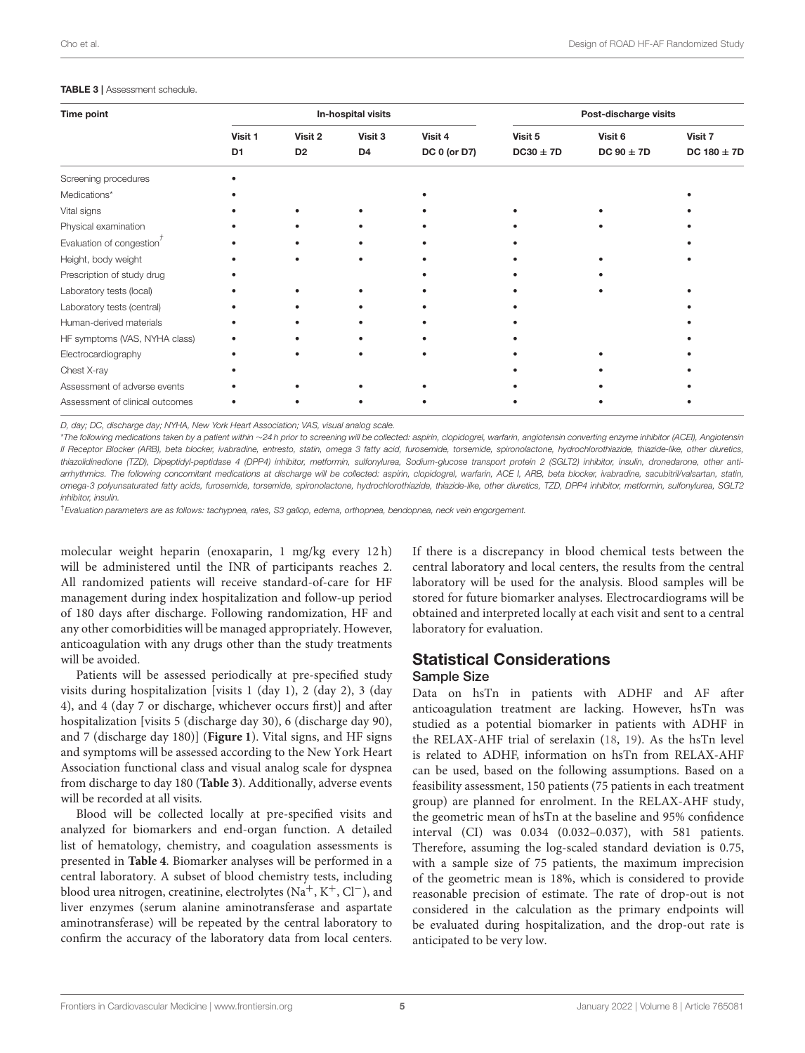#### Cho et al. Design of ROAD HF-AF Randomized Study

#### <span id="page-4-0"></span>TABLE 3 | Assessment schedule.

| Time point                            | In-hospital visits        |                           |                           | Post-discharge visits          |                          |                           |                            |
|---------------------------------------|---------------------------|---------------------------|---------------------------|--------------------------------|--------------------------|---------------------------|----------------------------|
|                                       | Visit 1<br>D <sub>1</sub> | Visit 2<br>D <sub>2</sub> | Visit 3<br>D <sub>4</sub> | Visit 4<br><b>DC 0 (or D7)</b> | Visit 5<br>$DC30 \pm 7D$ | Visit 6<br>DC $90 \pm 7D$ | Visit 7<br>DC $180 \pm 7D$ |
|                                       |                           |                           |                           |                                |                          |                           |                            |
| Medications*                          |                           |                           |                           |                                |                          |                           |                            |
| Vital signs                           |                           |                           |                           |                                |                          |                           |                            |
| Physical examination                  |                           |                           |                           |                                |                          |                           |                            |
| Evaluation of congestion <sup>'</sup> |                           |                           |                           |                                |                          |                           |                            |
| Height, body weight                   |                           |                           |                           |                                |                          |                           |                            |
| Prescription of study drug            |                           |                           |                           |                                |                          |                           |                            |
| Laboratory tests (local)              |                           |                           |                           |                                |                          |                           |                            |
| Laboratory tests (central)            |                           |                           |                           |                                |                          |                           |                            |
| Human-derived materials               |                           |                           |                           |                                |                          |                           |                            |
| HF symptoms (VAS, NYHA class)         |                           |                           |                           |                                |                          |                           |                            |
| Electrocardiography                   |                           |                           |                           |                                |                          |                           |                            |
| Chest X-ray                           |                           |                           |                           |                                |                          |                           |                            |
| Assessment of adverse events          |                           |                           |                           |                                |                          |                           |                            |
| Assessment of clinical outcomes       |                           |                           |                           |                                |                          |                           |                            |

*D, day; DC, discharge day; NYHA, New York Heart Association; VAS, visual analog scale.*

\**The following medications taken by a patient within* ∼*24 h prior to screening will be collected: aspirin, clopidogrel, warfarin, angiotensin converting enzyme inhibitor (ACEI), Angiotensin II Receptor Blocker (ARB), beta blocker, ivabradine, entresto, statin, omega 3 fatty acid, furosemide, torsemide, spironolactone, hydrochlorothiazide, thiazide-like, other diuretics, thiazolidinedione (TZD), Dipeptidyl-peptidase 4 (DPP4) inhibitor, metformin, sulfonylurea, Sodium-glucose transport protein 2 (SGLT2) inhibitor, insulin, dronedarone, other antiarrhythmics. The following concomitant medications at discharge will be collected: aspirin, clopidogrel, warfarin, ACE I, ARB, beta blocker, ivabradine, sacubitril/valsartan, statin, omega-3 polyunsaturated fatty acids, furosemide, torsemide, spironolactone, hydrochlorothiazide, thiazide-like, other diuretics, TZD, DPP4 inhibitor, metformin, sulfonylurea, SGLT2 inhibitor, insulin.*

†*Evaluation parameters are as follows: tachypnea, rales, S3 gallop, edema, orthopnea, bendopnea, neck vein engorgement.*

molecular weight heparin (enoxaparin, 1 mg/kg every 12 h) will be administered until the INR of participants reaches 2. All randomized patients will receive standard-of-care for HF management during index hospitalization and follow-up period of 180 days after discharge. Following randomization, HF and any other comorbidities will be managed appropriately. However, anticoagulation with any drugs other than the study treatments will be avoided.

Patients will be assessed periodically at pre-specified study visits during hospitalization [visits 1 (day 1), 2 (day 2), 3 (day 4), and 4 (day 7 or discharge, whichever occurs first)] and after hospitalization [visits 5 (discharge day 30), 6 (discharge day 90), and 7 (discharge day 180)] (**[Figure 1](#page-2-0)**). Vital signs, and HF signs and symptoms will be assessed according to the New York Heart Association functional class and visual analog scale for dyspnea from discharge to day 180 (**[Table 3](#page-4-0)**). Additionally, adverse events will be recorded at all visits.

Blood will be collected locally at pre-specified visits and analyzed for biomarkers and end-organ function. A detailed list of hematology, chemistry, and coagulation assessments is presented in **[Table 4](#page-5-0)**. Biomarker analyses will be performed in a central laboratory. A subset of blood chemistry tests, including blood urea nitrogen, creatinine, electrolytes (Na<sup>+</sup>, K<sup>+</sup>, Cl<sup>−</sup>), and liver enzymes (serum alanine aminotransferase and aspartate aminotransferase) will be repeated by the central laboratory to confirm the accuracy of the laboratory data from local centers. If there is a discrepancy in blood chemical tests between the central laboratory and local centers, the results from the central laboratory will be used for the analysis. Blood samples will be stored for future biomarker analyses. Electrocardiograms will be obtained and interpreted locally at each visit and sent to a central laboratory for evaluation.

## Statistical Considerations

### Sample Size

Data on hsTn in patients with ADHF and AF after anticoagulation treatment are lacking. However, hsTn was studied as a potential biomarker in patients with ADHF in the RELAX-AHF trial of serelaxin [\(18,](#page-7-17) [19\)](#page-7-18). As the hsTn level is related to ADHF, information on hsTn from RELAX-AHF can be used, based on the following assumptions. Based on a feasibility assessment, 150 patients (75 patients in each treatment group) are planned for enrolment. In the RELAX-AHF study, the geometric mean of hsTn at the baseline and 95% confidence interval (CI) was 0.034 (0.032–0.037), with 581 patients. Therefore, assuming the log-scaled standard deviation is 0.75, with a sample size of 75 patients, the maximum imprecision of the geometric mean is 18%, which is considered to provide reasonable precision of estimate. The rate of drop-out is not considered in the calculation as the primary endpoints will be evaluated during hospitalization, and the drop-out rate is anticipated to be very low.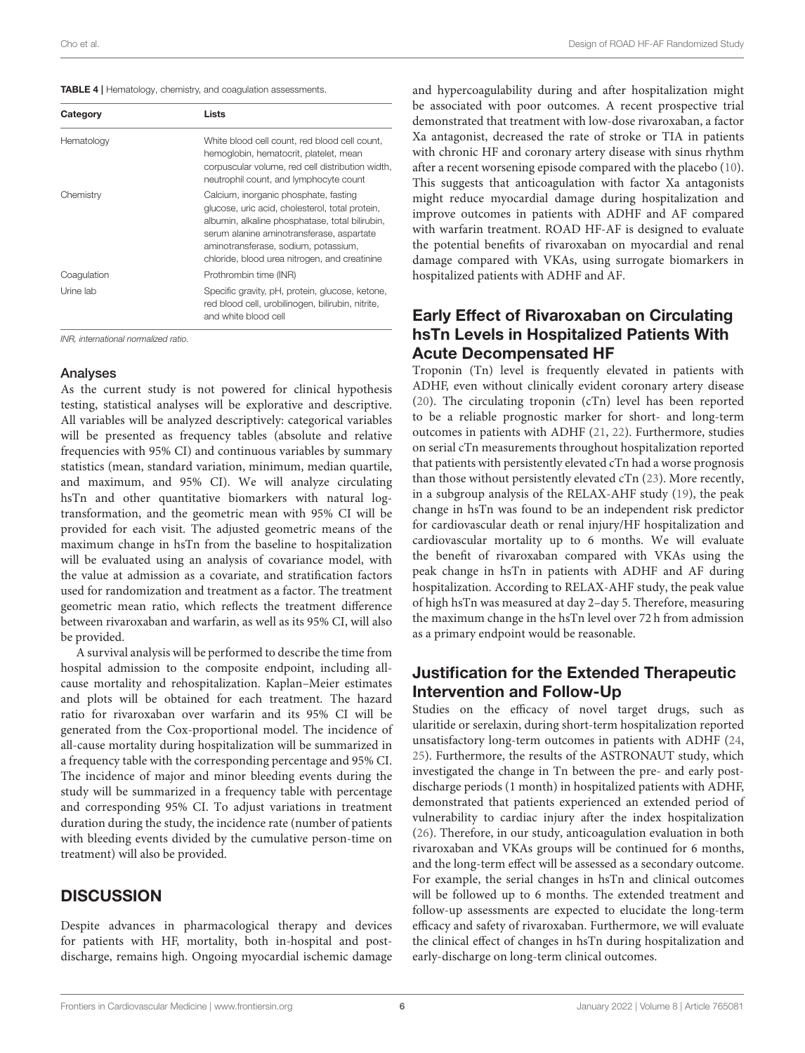<span id="page-5-0"></span>

| TABLE 4   Hematology, chemistry, and coagulation assessments. |
|---------------------------------------------------------------|
|---------------------------------------------------------------|

| Category    | Lists                                                                                                                                                                                                                                                                             |
|-------------|-----------------------------------------------------------------------------------------------------------------------------------------------------------------------------------------------------------------------------------------------------------------------------------|
| Hematology  | White blood cell count, red blood cell count.<br>hemoglobin, hematocrit, platelet, mean<br>corpuscular volume, red cell distribution width,<br>neutrophil count, and lymphocyte count                                                                                             |
| Chemistry   | Calcium, inorganic phosphate, fasting<br>glucose, uric acid, cholesterol, total protein,<br>albumin, alkaline phosphatase, total bilirubin,<br>serum alanine aminotransferase, aspartate<br>aminotransferase, sodium, potassium,<br>chloride, blood urea nitrogen, and creatinine |
| Coaqulation | Prothrombin time (INR)                                                                                                                                                                                                                                                            |
| Urine lab   | Specific gravity, pH, protein, glucose, ketone,<br>red blood cell, urobilinogen, bilirubin, nitrite,<br>and white blood cell                                                                                                                                                      |

*INR, international normalized ratio.*

## Analyses

As the current study is not powered for clinical hypothesis testing, statistical analyses will be explorative and descriptive. All variables will be analyzed descriptively: categorical variables will be presented as frequency tables (absolute and relative frequencies with 95% CI) and continuous variables by summary statistics (mean, standard variation, minimum, median quartile, and maximum, and 95% CI). We will analyze circulating hsTn and other quantitative biomarkers with natural logtransformation, and the geometric mean with 95% CI will be provided for each visit. The adjusted geometric means of the maximum change in hsTn from the baseline to hospitalization will be evaluated using an analysis of covariance model, with the value at admission as a covariate, and stratification factors used for randomization and treatment as a factor. The treatment geometric mean ratio, which reflects the treatment difference between rivaroxaban and warfarin, as well as its 95% CI, will also be provided.

A survival analysis will be performed to describe the time from hospital admission to the composite endpoint, including allcause mortality and rehospitalization. Kaplan–Meier estimates and plots will be obtained for each treatment. The hazard ratio for rivaroxaban over warfarin and its 95% CI will be generated from the Cox-proportional model. The incidence of all-cause mortality during hospitalization will be summarized in a frequency table with the corresponding percentage and 95% CI. The incidence of major and minor bleeding events during the study will be summarized in a frequency table with percentage and corresponding 95% CI. To adjust variations in treatment duration during the study, the incidence rate (number of patients with bleeding events divided by the cumulative person-time on treatment) will also be provided.

## **DISCUSSION**

Despite advances in pharmacological therapy and devices for patients with HF, mortality, both in-hospital and postdischarge, remains high. Ongoing myocardial ischemic damage and hypercoagulability during and after hospitalization might be associated with poor outcomes. A recent prospective trial demonstrated that treatment with low-dose rivaroxaban, a factor Xa antagonist, decreased the rate of stroke or TIA in patients with chronic HF and coronary artery disease with sinus rhythm after a recent worsening episode compared with the placebo [\(10\)](#page-7-9). This suggests that anticoagulation with factor Xa antagonists might reduce myocardial damage during hospitalization and improve outcomes in patients with ADHF and AF compared with warfarin treatment. ROAD HF-AF is designed to evaluate the potential benefits of rivaroxaban on myocardial and renal damage compared with VKAs, using surrogate biomarkers in hospitalized patients with ADHF and AF.

## Early Effect of Rivaroxaban on Circulating hsTn Levels in Hospitalized Patients With Acute Decompensated HF

Troponin (Tn) level is frequently elevated in patients with ADHF, even without clinically evident coronary artery disease [\(20\)](#page-7-19). The circulating troponin (cTn) level has been reported to be a reliable prognostic marker for short- and long-term outcomes in patients with ADHF [\(21,](#page-7-20) [22\)](#page-7-21). Furthermore, studies on serial cTn measurements throughout hospitalization reported that patients with persistently elevated cTn had a worse prognosis than those without persistently elevated cTn [\(23\)](#page-7-22). More recently, in a subgroup analysis of the RELAX-AHF study [\(19\)](#page-7-18), the peak change in hsTn was found to be an independent risk predictor for cardiovascular death or renal injury/HF hospitalization and cardiovascular mortality up to 6 months. We will evaluate the benefit of rivaroxaban compared with VKAs using the peak change in hsTn in patients with ADHF and AF during hospitalization. According to RELAX-AHF study, the peak value of high hsTn was measured at day 2–day 5. Therefore, measuring the maximum change in the hsTn level over 72 h from admission as a primary endpoint would be reasonable.

# Justification for the Extended Therapeutic Intervention and Follow-Up

Studies on the efficacy of novel target drugs, such as ularitide or serelaxin, during short-term hospitalization reported unsatisfactory long-term outcomes in patients with ADHF [\(24,](#page-7-23) [25\)](#page-7-24). Furthermore, the results of the ASTRONAUT study, which investigated the change in Tn between the pre- and early postdischarge periods (1 month) in hospitalized patients with ADHF, demonstrated that patients experienced an extended period of vulnerability to cardiac injury after the index hospitalization [\(26\)](#page-7-25). Therefore, in our study, anticoagulation evaluation in both rivaroxaban and VKAs groups will be continued for 6 months, and the long-term effect will be assessed as a secondary outcome. For example, the serial changes in hsTn and clinical outcomes will be followed up to 6 months. The extended treatment and follow-up assessments are expected to elucidate the long-term efficacy and safety of rivaroxaban. Furthermore, we will evaluate the clinical effect of changes in hsTn during hospitalization and early-discharge on long-term clinical outcomes.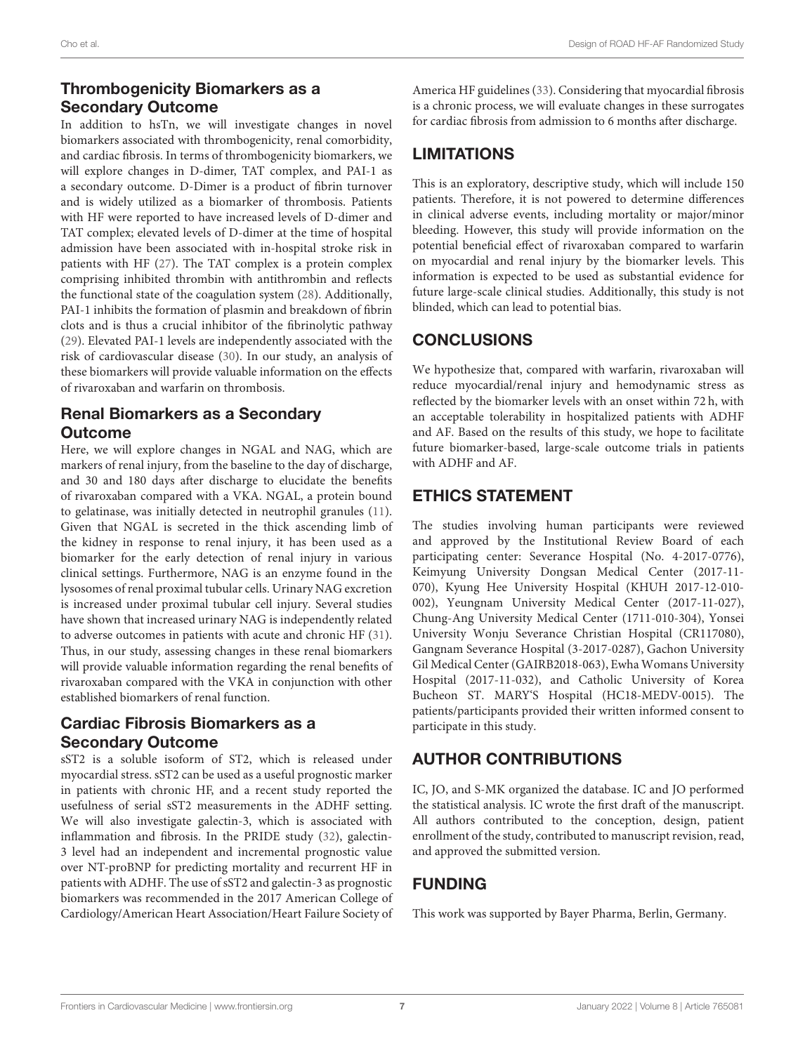# Thrombogenicity Biomarkers as a Secondary Outcome

In addition to hsTn, we will investigate changes in novel biomarkers associated with thrombogenicity, renal comorbidity, and cardiac fibrosis. In terms of thrombogenicity biomarkers, we will explore changes in D-dimer, TAT complex, and PAI-1 as a secondary outcome. D-Dimer is a product of fibrin turnover and is widely utilized as a biomarker of thrombosis. Patients with HF were reported to have increased levels of D-dimer and TAT complex; elevated levels of D-dimer at the time of hospital admission have been associated with in-hospital stroke risk in patients with HF [\(27\)](#page-7-26). The TAT complex is a protein complex comprising inhibited thrombin with antithrombin and reflects the functional state of the coagulation system [\(28\)](#page-7-27). Additionally, PAI-1 inhibits the formation of plasmin and breakdown of fibrin clots and is thus a crucial inhibitor of the fibrinolytic pathway [\(29\)](#page-7-28). Elevated PAI-1 levels are independently associated with the risk of cardiovascular disease [\(30\)](#page-7-29). In our study, an analysis of these biomarkers will provide valuable information on the effects of rivaroxaban and warfarin on thrombosis.

# Renal Biomarkers as a Secondary **Outcome**

Here, we will explore changes in NGAL and NAG, which are markers of renal injury, from the baseline to the day of discharge, and 30 and 180 days after discharge to elucidate the benefits of rivaroxaban compared with a VKA. NGAL, a protein bound to gelatinase, was initially detected in neutrophil granules [\(11\)](#page-7-10). Given that NGAL is secreted in the thick ascending limb of the kidney in response to renal injury, it has been used as a biomarker for the early detection of renal injury in various clinical settings. Furthermore, NAG is an enzyme found in the lysosomes of renal proximal tubular cells. Urinary NAG excretion is increased under proximal tubular cell injury. Several studies have shown that increased urinary NAG is independently related to adverse outcomes in patients with acute and chronic HF [\(31\)](#page-7-30). Thus, in our study, assessing changes in these renal biomarkers will provide valuable information regarding the renal benefits of rivaroxaban compared with the VKA in conjunction with other established biomarkers of renal function.

# Cardiac Fibrosis Biomarkers as a Secondary Outcome

sST2 is a soluble isoform of ST2, which is released under myocardial stress. sST2 can be used as a useful prognostic marker in patients with chronic HF, and a recent study reported the usefulness of serial sST2 measurements in the ADHF setting. We will also investigate galectin-3, which is associated with inflammation and fibrosis. In the PRIDE study [\(32\)](#page-7-31), galectin-3 level had an independent and incremental prognostic value over NT-proBNP for predicting mortality and recurrent HF in patients with ADHF. The use of sST2 and galectin-3 as prognostic biomarkers was recommended in the 2017 American College of Cardiology/American Heart Association/Heart Failure Society of America HF guidelines [\(33\)](#page-8-0). Considering that myocardial fibrosis is a chronic process, we will evaluate changes in these surrogates for cardiac fibrosis from admission to 6 months after discharge.

# **LIMITATIONS**

This is an exploratory, descriptive study, which will include 150 patients. Therefore, it is not powered to determine differences in clinical adverse events, including mortality or major/minor bleeding. However, this study will provide information on the potential beneficial effect of rivaroxaban compared to warfarin on myocardial and renal injury by the biomarker levels. This information is expected to be used as substantial evidence for future large-scale clinical studies. Additionally, this study is not blinded, which can lead to potential bias.

# CONCLUSIONS

We hypothesize that, compared with warfarin, rivaroxaban will reduce myocardial/renal injury and hemodynamic stress as reflected by the biomarker levels with an onset within 72 h, with an acceptable tolerability in hospitalized patients with ADHF and AF. Based on the results of this study, we hope to facilitate future biomarker-based, large-scale outcome trials in patients with ADHF and AF.

# ETHICS STATEMENT

The studies involving human participants were reviewed and approved by the Institutional Review Board of each participating center: Severance Hospital (No. 4-2017-0776), Keimyung University Dongsan Medical Center (2017-11- 070), Kyung Hee University Hospital (KHUH 2017-12-010- 002), Yeungnam University Medical Center (2017-11-027), Chung-Ang University Medical Center (1711-010-304), Yonsei University Wonju Severance Christian Hospital (CR117080), Gangnam Severance Hospital (3-2017-0287), Gachon University Gil Medical Center (GAIRB2018-063), Ewha Womans University Hospital (2017-11-032), and Catholic University of Korea Bucheon ST. MARY'S Hospital (HC18-MEDV-0015). The patients/participants provided their written informed consent to participate in this study.

# AUTHOR CONTRIBUTIONS

IC, JO, and S-MK organized the database. IC and JO performed the statistical analysis. IC wrote the first draft of the manuscript. All authors contributed to the conception, design, patient enrollment of the study, contributed to manuscript revision, read, and approved the submitted version.

# FUNDING

This work was supported by Bayer Pharma, Berlin, Germany.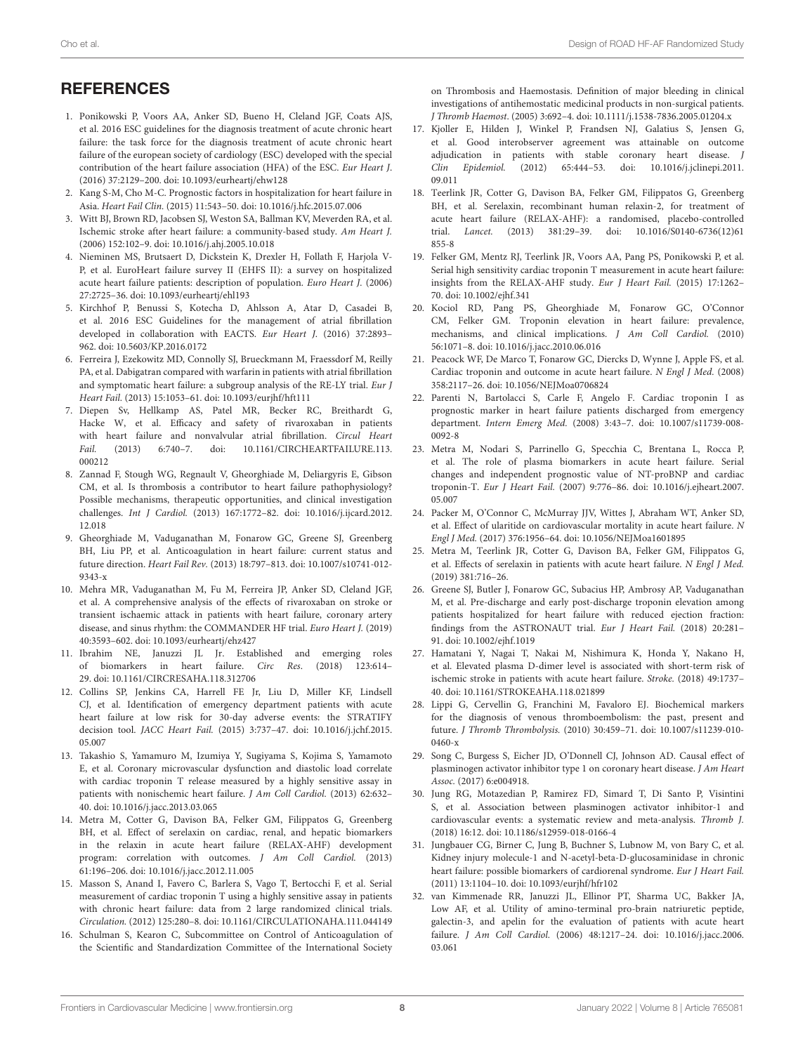# **REFERENCES**

- <span id="page-7-0"></span>1. Ponikowski P, Voors AA, Anker SD, Bueno H, Cleland JGF, Coats AJS, et al. 2016 ESC guidelines for the diagnosis treatment of acute chronic heart failure: the task force for the diagnosis treatment of acute chronic heart failure of the european society of cardiology (ESC) developed with the special contribution of the heart failure association (HFA) of the ESC. Eur Heart J. (2016) 37:2129–200. doi: [10.1093/eurheartj/ehw128](https://doi.org/10.1093/eurheartj/ehw128)
- <span id="page-7-1"></span>2. Kang S-M, Cho M-C. Prognostic factors in hospitalization for heart failure in Asia. Heart Fail Clin. (2015) 11:543–50. doi: [10.1016/j.hfc.2015.07.006](https://doi.org/10.1016/j.hfc.2015.07.006)
- <span id="page-7-2"></span>3. Witt BJ, Brown RD, Jacobsen SJ, Weston SA, Ballman KV, Meverden RA, et al. Ischemic stroke after heart failure: a community-based study. Am Heart J. (2006) 152:102–9. doi: [10.1016/j.ahj.2005.10.018](https://doi.org/10.1016/j.ahj.2005.10.018)
- <span id="page-7-3"></span>4. Nieminen MS, Brutsaert D, Dickstein K, Drexler H, Follath F, Harjola V-P, et al. EuroHeart failure survey II (EHFS II): a survey on hospitalized acute heart failure patients: description of population. Euro Heart J. (2006) 27:2725–36. doi: [10.1093/eurheartj/ehl193](https://doi.org/10.1093/eurheartj/ehl193)
- <span id="page-7-4"></span>5. Kirchhof P, Benussi S, Kotecha D, Ahlsson A, Atar D, Casadei B, et al. 2016 ESC Guidelines for the management of atrial fibrillation developed in collaboration with EACTS. Eur Heart J. (2016) 37:2893– 962. doi: [10.5603/KP.2016.0172](https://doi.org/10.5603/KP.2016.0172)
- <span id="page-7-5"></span>6. Ferreira J, Ezekowitz MD, Connolly SJ, Brueckmann M, Fraessdorf M, Reilly PA, et al. Dabigatran compared with warfarin in patients with atrial fibrillation and symptomatic heart failure: a subgroup analysis of the RE-LY trial. Eur J Heart Fail. (2013) 15:1053–61. doi: [10.1093/eurjhf/hft111](https://doi.org/10.1093/eurjhf/hft111)
- <span id="page-7-6"></span>7. Diepen Sv, Hellkamp AS, Patel MR, Becker RC, Breithardt G, Hacke W, et al. Efficacy and safety of rivaroxaban in patients with heart failure and nonvalvular atrial fibrillation. Circul Heart Fail. [\(2013\) 6:740–7. doi: 10.1161/CIRCHEARTFAILURE.113.](https://doi.org/10.1161/CIRCHEARTFAILURE.113.000212) 000212
- <span id="page-7-7"></span>8. Zannad F, Stough WG, Regnault V, Gheorghiade M, Deliargyris E, Gibson CM, et al. Is thrombosis a contributor to heart failure pathophysiology? Possible mechanisms, therapeutic opportunities, and clinical investigation challenges. Int J Cardiol. [\(2013\) 167:1772–82. doi: 10.1016/j.ijcard.2012.](https://doi.org/10.1016/j.ijcard.2012.12.018) 12.018
- <span id="page-7-8"></span>9. Gheorghiade M, Vaduganathan M, Fonarow GC, Greene SJ, Greenberg BH, Liu PP, et al. Anticoagulation in heart failure: current status and future direction. Heart Fail Rev. [\(2013\) 18:797–813. doi: 10.1007/s10741-012-](https://doi.org/10.1007/s10741-012-9343-x) 9343-x
- <span id="page-7-9"></span>10. Mehra MR, Vaduganathan M, Fu M, Ferreira JP, Anker SD, Cleland JGF, et al. A comprehensive analysis of the effects of rivaroxaban on stroke or transient ischaemic attack in patients with heart failure, coronary artery disease, and sinus rhythm: the COMMANDER HF trial. Euro Heart J. (2019) 40:3593–602. doi: [10.1093/eurheartj/ehz427](https://doi.org/10.1093/eurheartj/ehz427)
- <span id="page-7-10"></span>11. Ibrahim NE, Januzzi JL Jr. Established and emerging roles of biomarkers in heart failure. Circ Res. (2018) 123:614– 29. doi: [10.1161/CIRCRESAHA.118.312706](https://doi.org/10.1161/CIRCRESAHA.118.312706)
- <span id="page-7-11"></span>12. Collins SP, Jenkins CA, Harrell FE Jr, Liu D, Miller KF, Lindsell CJ, et al. Identification of emergency department patients with acute heart failure at low risk for 30-day adverse events: the STRATIFY decision tool. JACC Heart Fail. [\(2015\) 3:737–47. doi: 10.1016/j.jchf.2015.](https://doi.org/10.1016/j.jchf.2015.05.007) 05.007
- <span id="page-7-12"></span>13. Takashio S, Yamamuro M, Izumiya Y, Sugiyama S, Kojima S, Yamamoto E, et al. Coronary microvascular dysfunction and diastolic load correlate with cardiac troponin T release measured by a highly sensitive assay in patients with nonischemic heart failure. J Am Coll Cardiol. (2013) 62:632– 40. doi: [10.1016/j.jacc.2013.03.065](https://doi.org/10.1016/j.jacc.2013.03.065)
- <span id="page-7-13"></span>14. Metra M, Cotter G, Davison BA, Felker GM, Filippatos G, Greenberg BH, et al. Effect of serelaxin on cardiac, renal, and hepatic biomarkers in the relaxin in acute heart failure (RELAX-AHF) development program: correlation with outcomes. J Am Coll Cardiol. (2013) 61:196–206. doi: [10.1016/j.jacc.2012.11.005](https://doi.org/10.1016/j.jacc.2012.11.005)
- <span id="page-7-14"></span>15. Masson S, Anand I, Favero C, Barlera S, Vago T, Bertocchi F, et al. Serial measurement of cardiac troponin T using a highly sensitive assay in patients with chronic heart failure: data from 2 large randomized clinical trials. Circulation. (2012) 125:280–8. doi: [10.1161/CIRCULATIONAHA.111.044149](https://doi.org/10.1161/CIRCULATIONAHA.111.044149)
- <span id="page-7-15"></span>16. Schulman S, Kearon C, Subcommittee on Control of Anticoagulation of the Scientific and Standardization Committee of the International Society

on Thrombosis and Haemostasis. Definition of major bleeding in clinical investigations of antihemostatic medicinal products in non-surgical patients. J Thromb Haemost. (2005) 3:692–4. doi: [10.1111/j.1538-7836.2005.01204.x](https://doi.org/10.1111/j.1538-7836.2005.01204.x)

- <span id="page-7-16"></span>17. Kjoller E, Hilden J, Winkel P, Frandsen NJ, Galatius S, Jensen G, et al. Good interobserver agreement was attainable on outcome adjudication in patients with stable coronary heart disease. J Clin Epidemiol. [\(2012\) 65:444–53. doi: 10.1016/j.jclinepi.2011.](https://doi.org/10.1016/j.jclinepi.2011.09.011) 09.011
- <span id="page-7-17"></span>18. Teerlink JR, Cotter G, Davison BA, Felker GM, Filippatos G, Greenberg BH, et al. Serelaxin, recombinant human relaxin-2, for treatment of acute heart failure (RELAX-AHF): a randomised, placebo-controlled trial. Lancet. [\(2013\) 381:29–39. doi: 10.1016/S0140-6736\(12\)61](https://doi.org/10.1016/S0140-6736(12)61855-8) 855-8
- <span id="page-7-18"></span>19. Felker GM, Mentz RJ, Teerlink JR, Voors AA, Pang PS, Ponikowski P, et al. Serial high sensitivity cardiac troponin T measurement in acute heart failure: insights from the RELAX-AHF study. Eur J Heart Fail. (2015) 17:1262– 70. doi: [10.1002/ejhf.341](https://doi.org/10.1002/ejhf.341)
- <span id="page-7-19"></span>20. Kociol RD, Pang PS, Gheorghiade M, Fonarow GC, O'Connor CM, Felker GM. Troponin elevation in heart failure: prevalence, mechanisms, and clinical implications. J Am Coll Cardiol. (2010) 56:1071–8. doi: [10.1016/j.jacc.2010.06.016](https://doi.org/10.1016/j.jacc.2010.06.016)
- <span id="page-7-20"></span>21. Peacock WF, De Marco T, Fonarow GC, Diercks D, Wynne J, Apple FS, et al. Cardiac troponin and outcome in acute heart failure. N Engl J Med. (2008) 358:2117–26. doi: [10.1056/NEJMoa0706824](https://doi.org/10.1056/NEJMoa0706824)
- <span id="page-7-21"></span>22. Parenti N, Bartolacci S, Carle F, Angelo F. Cardiac troponin I as prognostic marker in heart failure patients discharged from emergency department. Intern Emerg Med. [\(2008\) 3:43–7. doi: 10.1007/s11739-008-](https://doi.org/10.1007/s11739-008-0092-8) 0092-8
- <span id="page-7-22"></span>23. Metra M, Nodari S, Parrinello G, Specchia C, Brentana L, Rocca P, et al. The role of plasma biomarkers in acute heart failure. Serial changes and independent prognostic value of NT-proBNP and cardiac troponin-T. Eur J Heart Fail. [\(2007\) 9:776–86. doi: 10.1016/j.ejheart.2007.](https://doi.org/10.1016/j.ejheart.2007.05.007) 05.007
- <span id="page-7-23"></span>24. Packer M, O'Connor C, McMurray JJV, Wittes J, Abraham WT, Anker SD, et al. Effect of ularitide on cardiovascular mortality in acute heart failure. N Engl J Med. (2017) 376:1956–64. doi: [10.1056/NEJMoa1601895](https://doi.org/10.1056/NEJMoa1601895)
- <span id="page-7-24"></span>25. Metra M, Teerlink JR, Cotter G, Davison BA, Felker GM, Filippatos G, et al. Effects of serelaxin in patients with acute heart failure. N Engl J Med. (2019) 381:716–26.
- <span id="page-7-25"></span>26. Greene SJ, Butler J, Fonarow GC, Subacius HP, Ambrosy AP, Vaduganathan M, et al. Pre-discharge and early post-discharge troponin elevation among patients hospitalized for heart failure with reduced ejection fraction: findings from the ASTRONAUT trial. Eur J Heart Fail. (2018) 20:281– 91. doi: [10.1002/ejhf.1019](https://doi.org/10.1002/ejhf.1019)
- <span id="page-7-26"></span>27. Hamatani Y, Nagai T, Nakai M, Nishimura K, Honda Y, Nakano H, et al. Elevated plasma D-dimer level is associated with short-term risk of ischemic stroke in patients with acute heart failure. Stroke. (2018) 49:1737– 40. doi: [10.1161/STROKEAHA.118.021899](https://doi.org/10.1161/STROKEAHA.118.021899)
- <span id="page-7-27"></span>28. Lippi G, Cervellin G, Franchini M, Favaloro EJ. Biochemical markers for the diagnosis of venous thromboembolism: the past, present and future. J Thromb Thrombolysis. [\(2010\) 30:459–71. doi: 10.1007/s11239-010-](https://doi.org/10.1007/s11239-010-0460-x) 0460-x
- <span id="page-7-28"></span>29. Song C, Burgess S, Eicher JD, O'Donnell CJ, Johnson AD. Causal effect of plasminogen activator inhibitor type 1 on coronary heart disease. J Am Heart Assoc. (2017) 6:e004918.
- <span id="page-7-29"></span>30. Jung RG, Motazedian P, Ramirez FD, Simard T, Di Santo P, Visintini S, et al. Association between plasminogen activator inhibitor-1 and cardiovascular events: a systematic review and meta-analysis. Thromb J. (2018) 16:12. doi: [10.1186/s12959-018-0166-4](https://doi.org/10.1186/s12959-018-0166-4)
- <span id="page-7-30"></span>31. Jungbauer CG, Birner C, Jung B, Buchner S, Lubnow M, von Bary C, et al. Kidney injury molecule-1 and N-acetyl-beta-D-glucosaminidase in chronic heart failure: possible biomarkers of cardiorenal syndrome. Eur J Heart Fail. (2011) 13:1104–10. doi: [10.1093/eurjhf/hfr102](https://doi.org/10.1093/eurjhf/hfr102)
- <span id="page-7-31"></span>32. van Kimmenade RR, Januzzi JL, Ellinor PT, Sharma UC, Bakker JA, Low AF, et al. Utility of amino-terminal pro-brain natriuretic peptide, galectin-3, and apelin for the evaluation of patients with acute heart failure. J Am Coll Cardiol. [\(2006\) 48:1217–24. doi: 10.1016/j.jacc.2006.](https://doi.org/10.1016/j.jacc.2006.03.061) 03.061